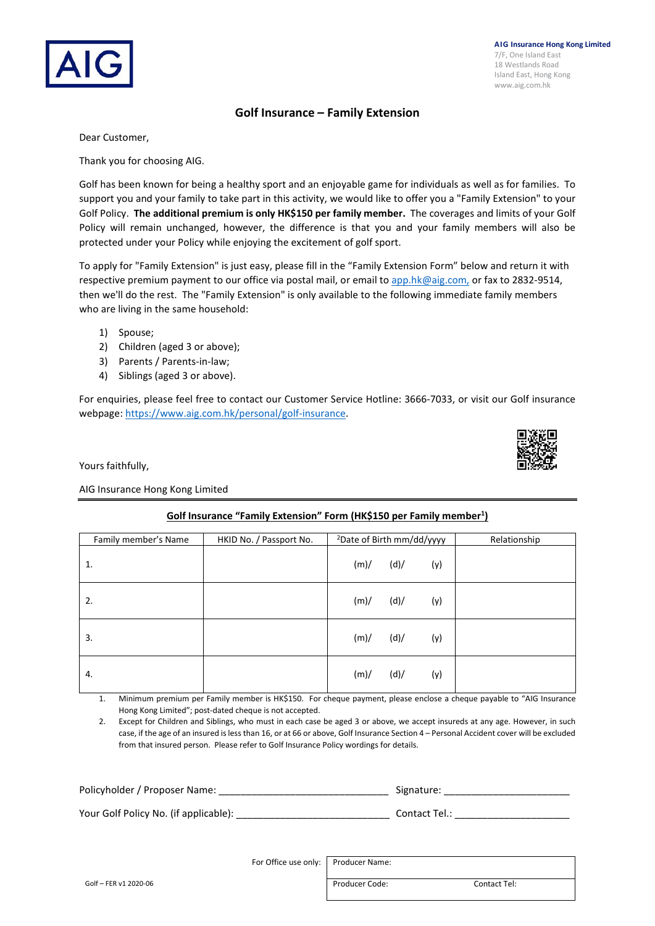

**AIG Insurance Hong Kong Limited** 7/F, One Island East 18 Westlands Road Island East, Hong Kong www.aig.com.hk

### **Golf Insurance – Family Extension**

Dear Customer,

Thank you for choosing AIG.

Golf has been known for being a healthy sport and an enjoyable game for individuals as well as for families. To support you and your family to take part in this activity, we would like to offer you a "Family Extension" to your Golf Policy. **The additional premium is only HK\$150 per family member.** The coverages and limits of your Golf Policy will remain unchanged, however, the difference is that you and your family members will also be protected under your Policy while enjoying the excitement of golf sport.

To apply for "Family Extension" is just easy, please fill in the "Family Extension Form" below and return it with respective premium payment to our office via postal mail, or email to [app.hk@aig.com,](mailto:app.hk@aig.com) or fax to 2832-9514, then we'll do the rest. The "Family Extension" is only available to the following immediate family members who are living in the same household:

- 1) Spouse;
- 2) Children (aged 3 or above);
- 3) Parents / Parents-in-law;
- 4) Siblings (aged 3 or above).

For enquiries, please feel free to contact our Customer Service Hotline: 3666-7033, or visit our Golf insurance webpage: [https://www.aig.com.hk/personal/golf-insurance.](https://www.aig.com.hk/personal/golf-insurance) 

Yours faithfully,

#### AIG Insurance Hong Kong Limited

## **Golf Insurance "Family Extension" Form (HK\$150 per Family member1 )**

| Family member's Name | HKID No. / Passport No. | <sup>2</sup> Date of Birth mm/dd/yyyy | Relationship |  |
|----------------------|-------------------------|---------------------------------------|--------------|--|
| 1.                   |                         | (m)/<br>(d)/                          | (y)          |  |
| 2.                   |                         | (d)/<br>(m)/                          | (y)          |  |
| 3.                   |                         | (d)/<br>(m)/                          | (y)          |  |
| 4.                   |                         | (d)/<br>(m)/                          | (y)          |  |

1. Minimum premium per Family member is HK\$150. For cheque payment, please enclose a cheque payable to "AIG Insurance Hong Kong Limited"; post-dated cheque is not accepted.

2. Except for Children and Siblings, who must in each case be aged 3 or above, we accept insureds at any age. However, in such case, if the age of an insured is less than 16, or at 66 or above, Golf Insurance Section 4 – Personal Accident cover will be excluded from that insured person. Please refer to Golf Insurance Policy wordings for details.

| Policyholder / Proposer Name:         | Signature:    |  |  |
|---------------------------------------|---------------|--|--|
| Your Golf Policy No. (if applicable): | Contact Tel.: |  |  |

For Office use only: Producer Name: